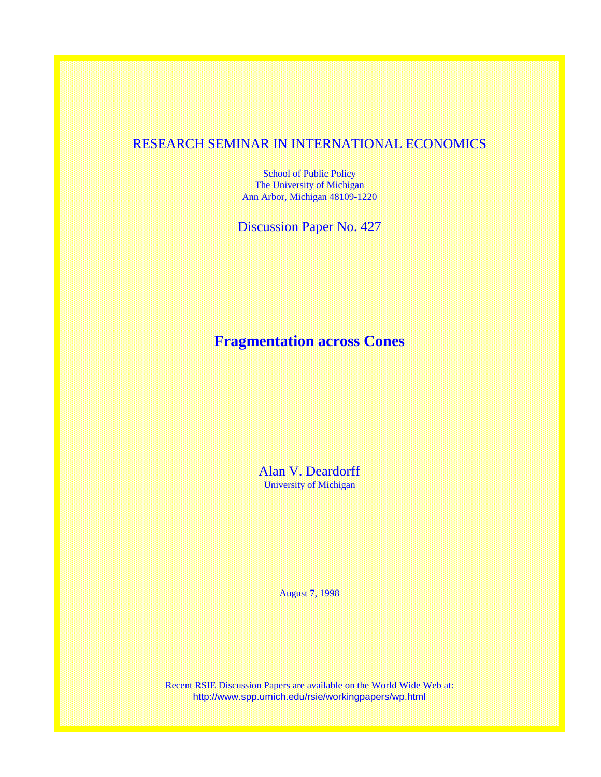## RESEARCH SEMINAR IN INTERNATIONAL ECONOMICS

School of Public Policy The University of Michigan Ann Arbor, Michigan 48109-1220

Discussion Paper No. 427

# **Fragmentation across Cones**

Alan V. Deardorff University of Michigan

August 7, 1998

Recent RSIE Discussion Papers are available on the World Wide Web at: http://www.spp.umich.edu/rsie/workingpapers/wp.html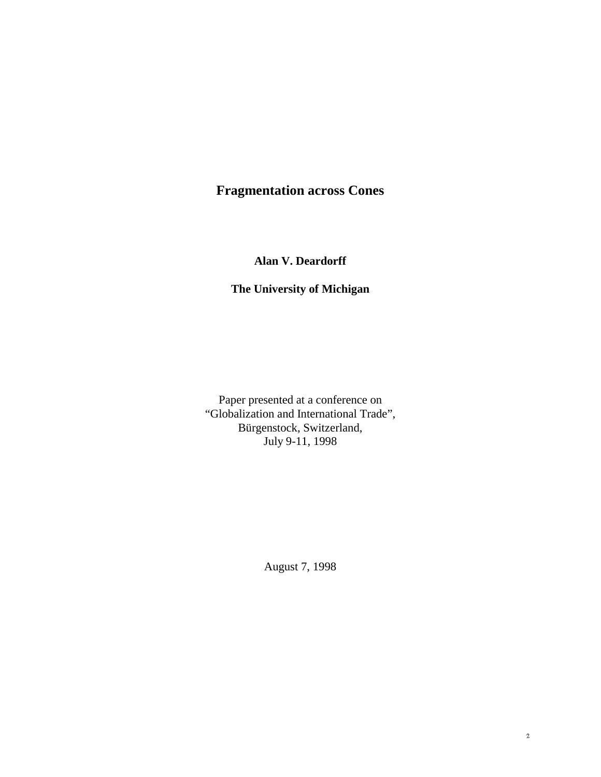## **Fragmentation across Cones**

**Alan V. Deardorff**

## **The University of Michigan**

Paper presented at a conference on "Globalization and International Trade", Bürgenstock, Switzerland, July 9-11, 1998

August 7, 1998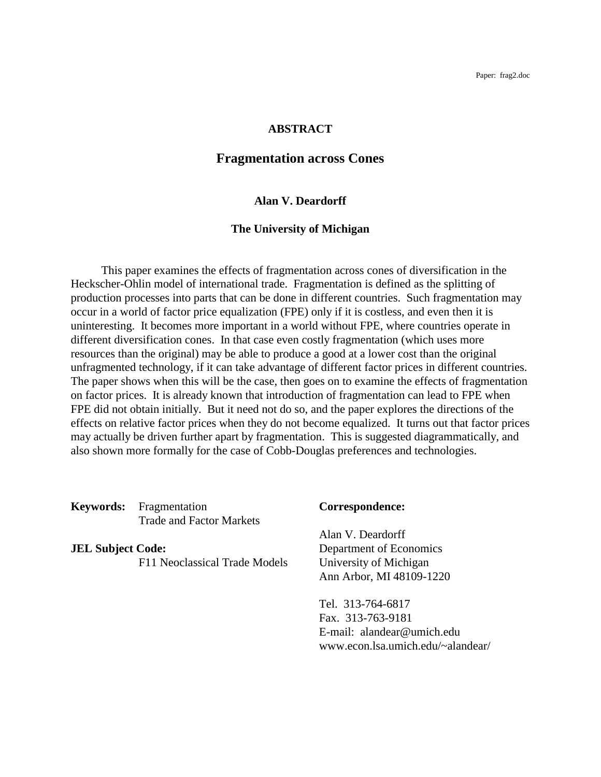Paper: frag2.doc

#### **ABSTRACT**

### **Fragmentation across Cones**

#### **Alan V. Deardorff**

#### **The University of Michigan**

This paper examines the effects of fragmentation across cones of diversification in the Heckscher-Ohlin model of international trade. Fragmentation is defined as the splitting of production processes into parts that can be done in different countries. Such fragmentation may occur in a world of factor price equalization (FPE) only if it is costless, and even then it is uninteresting. It becomes more important in a world without FPE, where countries operate in different diversification cones. In that case even costly fragmentation (which uses more resources than the original) may be able to produce a good at a lower cost than the original unfragmented technology, if it can take advantage of different factor prices in different countries. The paper shows when this will be the case, then goes on to examine the effects of fragmentation on factor prices. It is already known that introduction of fragmentation can lead to FPE when FPE did not obtain initially. But it need not do so, and the paper explores the directions of the effects on relative factor prices when they do not become equalized. It turns out that factor prices may actually be driven further apart by fragmentation. This is suggested diagrammatically, and also shown more formally for the case of Cobb-Douglas preferences and technologies.

**Keywords:** Fragmentation **Correspondence:** Trade and Factor Markets

**JEL Subject Code:** Department of Economics F11 Neoclassical Trade Models University of Michigan

Alan V. Deardorff Ann Arbor, MI 48109-1220

Tel. 313-764-6817 Fax. 313-763-9181 E-mail: alandear@umich.edu www.econ.lsa.umich.edu/~alandear/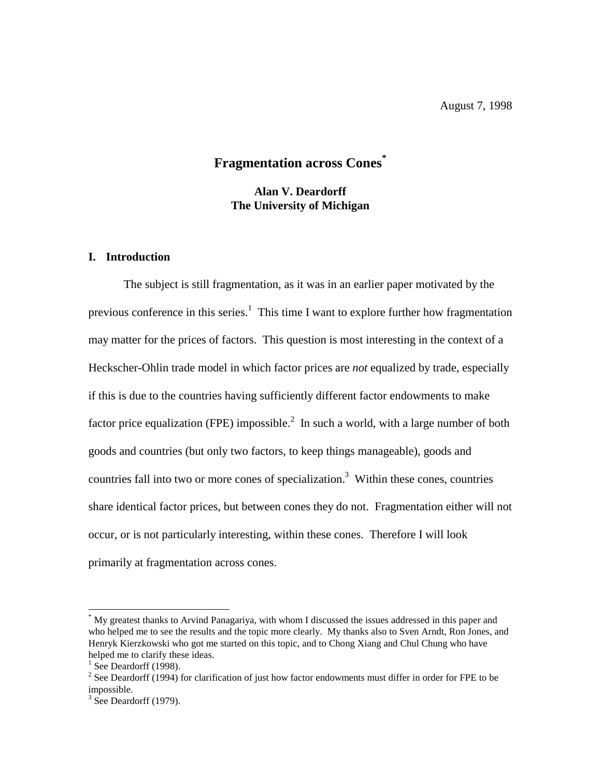## **Fragmentation across Cones\***

**Alan V. Deardorff The University of Michigan**

#### **I. Introduction**

The subject is still fragmentation, as it was in an earlier paper motivated by the previous conference in this series.<sup>1</sup> This time I want to explore further how fragmentation may matter for the prices of factors. This question is most interesting in the context of a Heckscher-Ohlin trade model in which factor prices are *not* equalized by trade, especially if this is due to the countries having sufficiently different factor endowments to make factor price equalization (FPE) impossible.<sup>2</sup> In such a world, with a large number of both goods and countries (but only two factors, to keep things manageable), goods and countries fall into two or more cones of specialization.<sup>3</sup> Within these cones, countries share identical factor prices, but between cones they do not. Fragmentation either will not occur, or is not particularly interesting, within these cones. Therefore I will look primarily at fragmentation across cones.

 $\overline{a}$ 

<sup>\*</sup> My greatest thanks to Arvind Panagariya, with whom I discussed the issues addressed in this paper and who helped me to see the results and the topic more clearly. My thanks also to Sven Arndt, Ron Jones, and Henryk Kierzkowski who got me started on this topic, and to Chong Xiang and Chul Chung who have helped me to clarify these ideas.

 $<sup>1</sup>$  See Deardorff (1998).</sup>

 $2^{2}$  See Deardorff (1994) for clarification of just how factor endowments must differ in order for FPE to be impossible.

 $3$  See Deardorff (1979).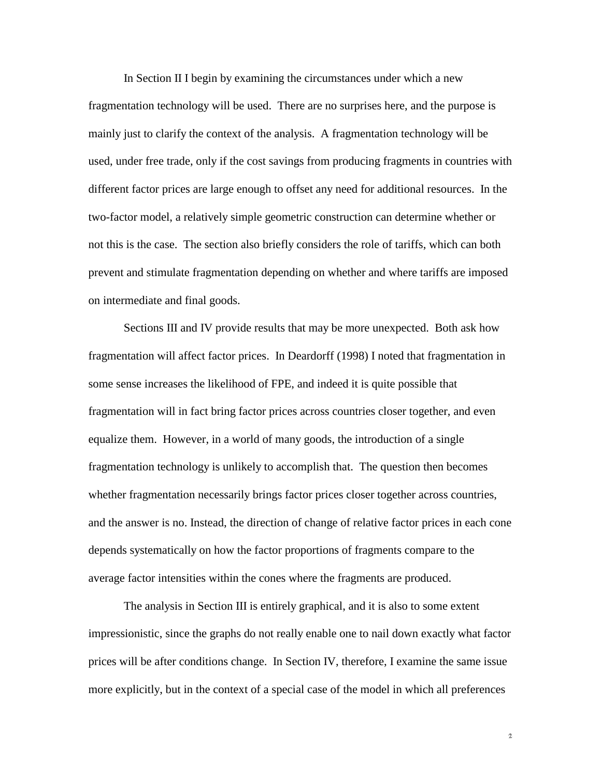In Section II I begin by examining the circumstances under which a new fragmentation technology will be used. There are no surprises here, and the purpose is mainly just to clarify the context of the analysis. A fragmentation technology will be used, under free trade, only if the cost savings from producing fragments in countries with different factor prices are large enough to offset any need for additional resources. In the two-factor model, a relatively simple geometric construction can determine whether or not this is the case. The section also briefly considers the role of tariffs, which can both prevent and stimulate fragmentation depending on whether and where tariffs are imposed on intermediate and final goods.

Sections III and IV provide results that may be more unexpected. Both ask how fragmentation will affect factor prices. In Deardorff (1998) I noted that fragmentation in some sense increases the likelihood of FPE, and indeed it is quite possible that fragmentation will in fact bring factor prices across countries closer together, and even equalize them. However, in a world of many goods, the introduction of a single fragmentation technology is unlikely to accomplish that. The question then becomes whether fragmentation necessarily brings factor prices closer together across countries, and the answer is no. Instead, the direction of change of relative factor prices in each cone depends systematically on how the factor proportions of fragments compare to the average factor intensities within the cones where the fragments are produced.

The analysis in Section III is entirely graphical, and it is also to some extent impressionistic, since the graphs do not really enable one to nail down exactly what factor prices will be after conditions change. In Section IV, therefore, I examine the same issue more explicitly, but in the context of a special case of the model in which all preferences

 $\hat{2}$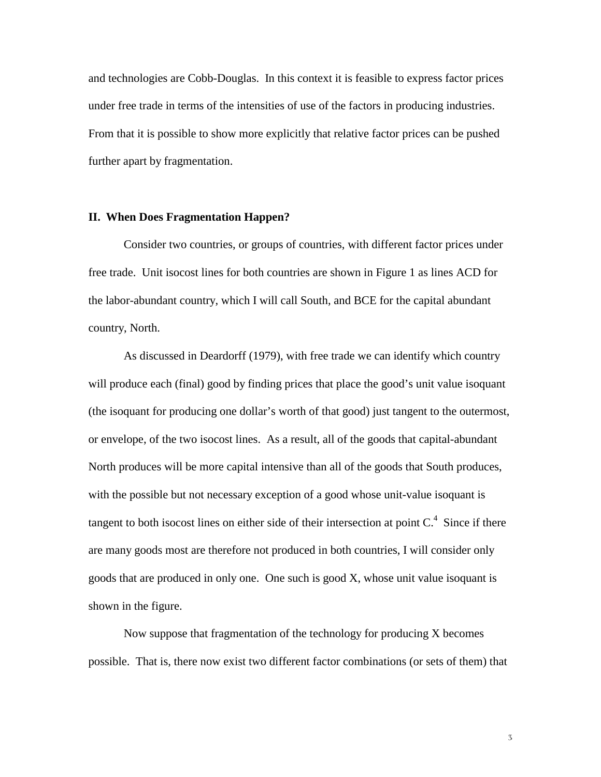and technologies are Cobb-Douglas. In this context it is feasible to express factor prices under free trade in terms of the intensities of use of the factors in producing industries. From that it is possible to show more explicitly that relative factor prices can be pushed further apart by fragmentation.

#### **II. When Does Fragmentation Happen?**

Consider two countries, or groups of countries, with different factor prices under free trade. Unit isocost lines for both countries are shown in Figure 1 as lines ACD for the labor-abundant country, which I will call South, and BCE for the capital abundant country, North.

As discussed in Deardorff (1979), with free trade we can identify which country will produce each (final) good by finding prices that place the good's unit value isoquant (the isoquant for producing one dollar's worth of that good) just tangent to the outermost, or envelope, of the two isocost lines. As a result, all of the goods that capital-abundant North produces will be more capital intensive than all of the goods that South produces, with the possible but not necessary exception of a good whose unit-value isoquant is tangent to both isocost lines on either side of their intersection at point  $C<sup>4</sup>$ . Since if there are many goods most are therefore not produced in both countries, I will consider only goods that are produced in only one. One such is good X, whose unit value isoquant is shown in the figure.

Now suppose that fragmentation of the technology for producing X becomes possible. That is, there now exist two different factor combinations (or sets of them) that

 $\overline{\mathcal{S}}$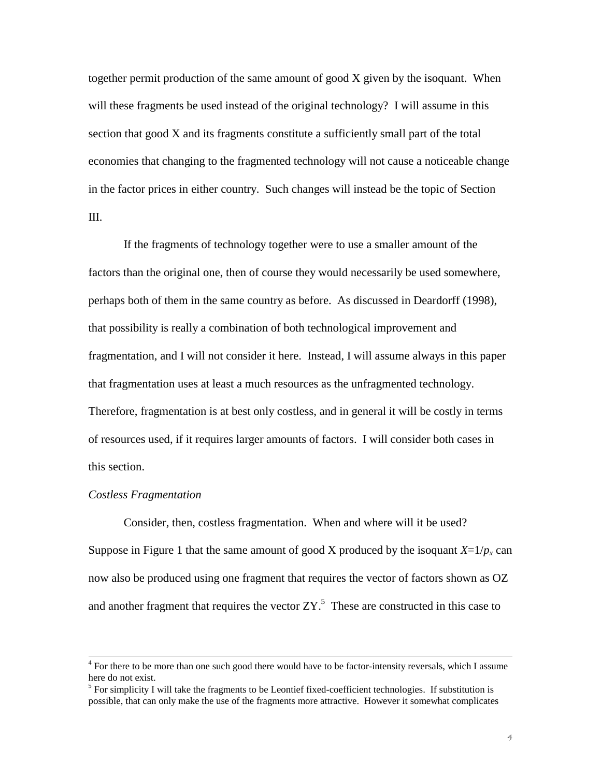together permit production of the same amount of good X given by the isoquant. When will these fragments be used instead of the original technology? I will assume in this section that good X and its fragments constitute a sufficiently small part of the total economies that changing to the fragmented technology will not cause a noticeable change in the factor prices in either country. Such changes will instead be the topic of Section III.

If the fragments of technology together were to use a smaller amount of the factors than the original one, then of course they would necessarily be used somewhere, perhaps both of them in the same country as before. As discussed in Deardorff (1998), that possibility is really a combination of both technological improvement and fragmentation, and I will not consider it here. Instead, I will assume always in this paper that fragmentation uses at least a much resources as the unfragmented technology. Therefore, fragmentation is at best only costless, and in general it will be costly in terms of resources used, if it requires larger amounts of factors. I will consider both cases in this section.

#### *Costless Fragmentation*

Consider, then, costless fragmentation. When and where will it be used? Suppose in Figure 1 that the same amount of good X produced by the isoquant  $X=1/p_x$  can now also be produced using one fragment that requires the vector of factors shown as OZ and another fragment that requires the vector  $ZY$ .<sup>5</sup> These are constructed in this case to

 $\frac{1}{4}$ <sup>4</sup> For there to be more than one such good there would have to be factor-intensity reversals, which I assume here do not exist.

 $<sup>5</sup>$  For simplicity I will take the fragments to be Leontief fixed-coefficient technologies. If substitution is</sup> possible, that can only make the use of the fragments more attractive. However it somewhat complicates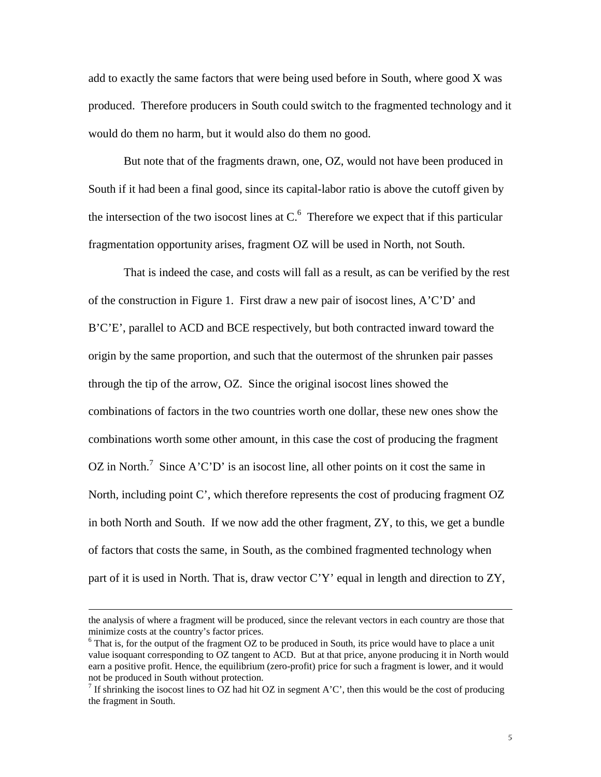add to exactly the same factors that were being used before in South, where good X was produced. Therefore producers in South could switch to the fragmented technology and it would do them no harm, but it would also do them no good.

But note that of the fragments drawn, one, OZ, would not have been produced in South if it had been a final good, since its capital-labor ratio is above the cutoff given by the intersection of the two isocost lines at  $C<sup>6</sup>$ . Therefore we expect that if this particular fragmentation opportunity arises, fragment OZ will be used in North, not South.

That is indeed the case, and costs will fall as a result, as can be verified by the rest of the construction in Figure 1. First draw a new pair of isocost lines, A'C'D' and B'C'E', parallel to ACD and BCE respectively, but both contracted inward toward the origin by the same proportion, and such that the outermost of the shrunken pair passes through the tip of the arrow, OZ. Since the original isocost lines showed the combinations of factors in the two countries worth one dollar, these new ones show the combinations worth some other amount, in this case the cost of producing the fragment OZ in North.<sup>7</sup> Since A'C'D' is an isocost line, all other points on it cost the same in North, including point C', which therefore represents the cost of producing fragment OZ in both North and South. If we now add the other fragment, ZY, to this, we get a bundle of factors that costs the same, in South, as the combined fragmented technology when part of it is used in North. That is, draw vector C'Y' equal in length and direction to ZY,

 $\overline{a}$ 

the analysis of where a fragment will be produced, since the relevant vectors in each country are those that minimize costs at the country's factor prices.

 $6$  That is, for the output of the fragment OZ to be produced in South, its price would have to place a unit value isoquant corresponding to OZ tangent to ACD. But at that price, anyone producing it in North would earn a positive profit. Hence, the equilibrium (zero-profit) price for such a fragment is lower, and it would not be produced in South without protection.

<sup>&</sup>lt;sup>7</sup> If shrinking the isocost lines to OZ had hit OZ in segment A'C', then this would be the cost of producing the fragment in South.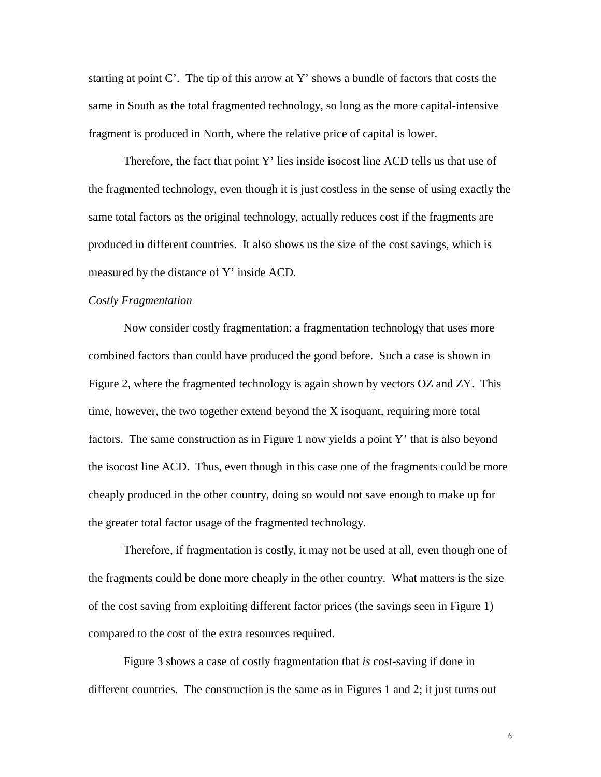starting at point C'. The tip of this arrow at Y' shows a bundle of factors that costs the same in South as the total fragmented technology, so long as the more capital-intensive fragment is produced in North, where the relative price of capital is lower.

Therefore, the fact that point Y' lies inside isocost line ACD tells us that use of the fragmented technology, even though it is just costless in the sense of using exactly the same total factors as the original technology, actually reduces cost if the fragments are produced in different countries. It also shows us the size of the cost savings, which is measured by the distance of Y' inside ACD.

#### *Costly Fragmentation*

Now consider costly fragmentation: a fragmentation technology that uses more combined factors than could have produced the good before. Such a case is shown in Figure 2, where the fragmented technology is again shown by vectors OZ and ZY. This time, however, the two together extend beyond the X isoquant, requiring more total factors. The same construction as in Figure 1 now yields a point Y' that is also beyond the isocost line ACD. Thus, even though in this case one of the fragments could be more cheaply produced in the other country, doing so would not save enough to make up for the greater total factor usage of the fragmented technology.

Therefore, if fragmentation is costly, it may not be used at all, even though one of the fragments could be done more cheaply in the other country. What matters is the size of the cost saving from exploiting different factor prices (the savings seen in Figure 1) compared to the cost of the extra resources required.

Figure 3 shows a case of costly fragmentation that *is* cost-saving if done in different countries. The construction is the same as in Figures 1 and 2; it just turns out

 $\mathbf 6$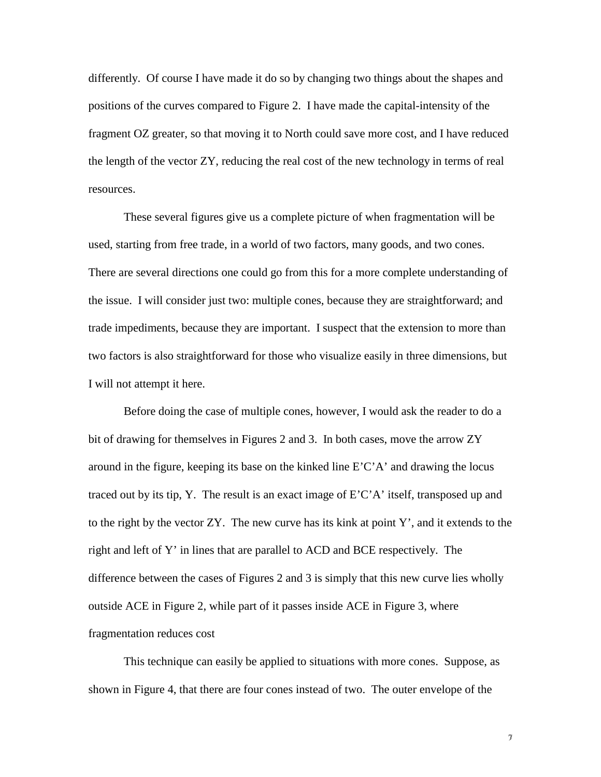differently. Of course I have made it do so by changing two things about the shapes and positions of the curves compared to Figure 2. I have made the capital-intensity of the fragment OZ greater, so that moving it to North could save more cost, and I have reduced the length of the vector ZY, reducing the real cost of the new technology in terms of real resources.

These several figures give us a complete picture of when fragmentation will be used, starting from free trade, in a world of two factors, many goods, and two cones. There are several directions one could go from this for a more complete understanding of the issue. I will consider just two: multiple cones, because they are straightforward; and trade impediments, because they are important. I suspect that the extension to more than two factors is also straightforward for those who visualize easily in three dimensions, but I will not attempt it here.

Before doing the case of multiple cones, however, I would ask the reader to do a bit of drawing for themselves in Figures 2 and 3. In both cases, move the arrow ZY around in the figure, keeping its base on the kinked line  $E'C'A'$  and drawing the locus traced out by its tip, Y. The result is an exact image of  $E'C'A'$  itself, transposed up and to the right by the vector ZY. The new curve has its kink at point Y', and it extends to the right and left of Y' in lines that are parallel to ACD and BCE respectively. The difference between the cases of Figures 2 and 3 is simply that this new curve lies wholly outside ACE in Figure 2, while part of it passes inside ACE in Figure 3, where fragmentation reduces cost

This technique can easily be applied to situations with more cones. Suppose, as shown in Figure 4, that there are four cones instead of two. The outer envelope of the

 $\boldsymbol{\gamma}$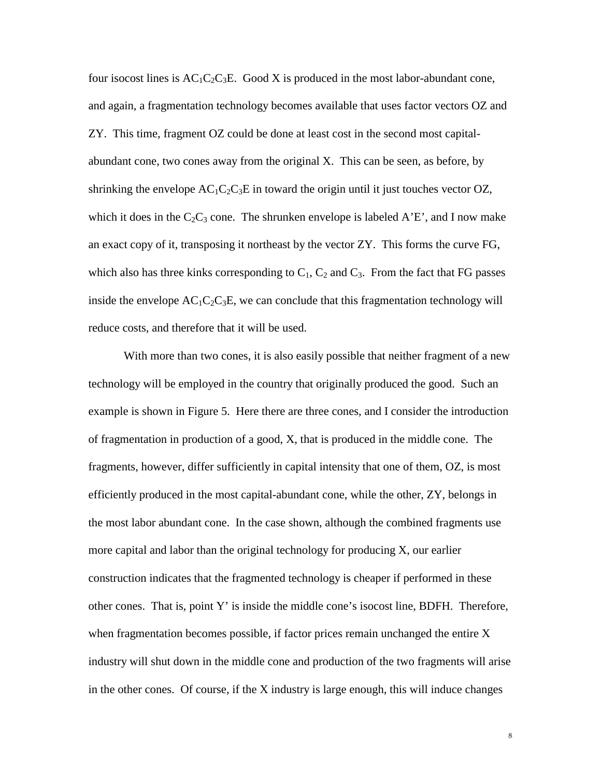four isocost lines is  $AC_1C_2C_3E$ . Good X is produced in the most labor-abundant cone, and again, a fragmentation technology becomes available that uses factor vectors OZ and ZY. This time, fragment OZ could be done at least cost in the second most capitalabundant cone, two cones away from the original X. This can be seen, as before, by shrinking the envelope  $AC_1C_2C_3E$  in toward the origin until it just touches vector OZ, which it does in the  $C_2C_3$  cone. The shrunken envelope is labeled A'E', and I now make an exact copy of it, transposing it northeast by the vector ZY. This forms the curve FG, which also has three kinks corresponding to  $C_1$ ,  $C_2$  and  $C_3$ . From the fact that FG passes inside the envelope  $AC_1C_2C_3E$ , we can conclude that this fragmentation technology will reduce costs, and therefore that it will be used.

With more than two cones, it is also easily possible that neither fragment of a new technology will be employed in the country that originally produced the good. Such an example is shown in Figure 5. Here there are three cones, and I consider the introduction of fragmentation in production of a good, X, that is produced in the middle cone. The fragments, however, differ sufficiently in capital intensity that one of them, OZ, is most efficiently produced in the most capital-abundant cone, while the other, ZY, belongs in the most labor abundant cone. In the case shown, although the combined fragments use more capital and labor than the original technology for producing X, our earlier construction indicates that the fragmented technology is cheaper if performed in these other cones. That is, point Y' is inside the middle cone's isocost line, BDFH. Therefore, when fragmentation becomes possible, if factor prices remain unchanged the entire X industry will shut down in the middle cone and production of the two fragments will arise in the other cones. Of course, if the X industry is large enough, this will induce changes

8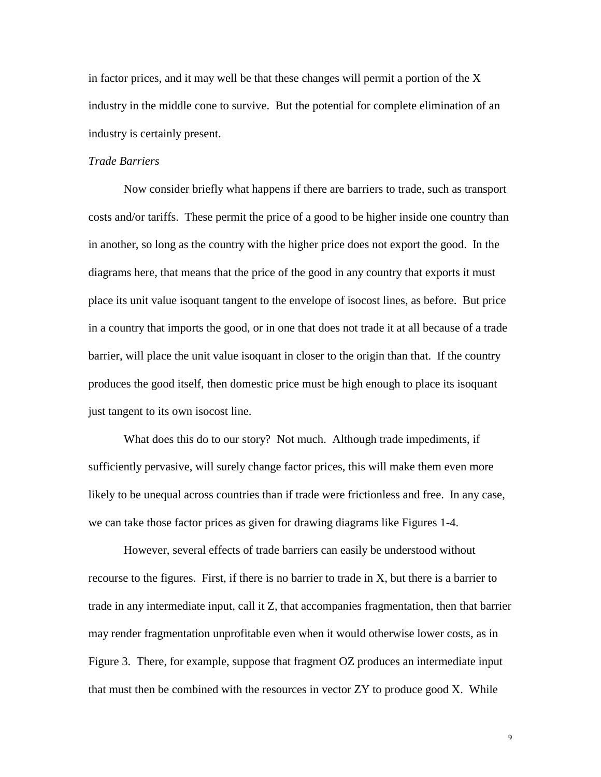in factor prices, and it may well be that these changes will permit a portion of the X industry in the middle cone to survive. But the potential for complete elimination of an industry is certainly present.

#### *Trade Barriers*

Now consider briefly what happens if there are barriers to trade, such as transport costs and/or tariffs. These permit the price of a good to be higher inside one country than in another, so long as the country with the higher price does not export the good. In the diagrams here, that means that the price of the good in any country that exports it must place its unit value isoquant tangent to the envelope of isocost lines, as before. But price in a country that imports the good, or in one that does not trade it at all because of a trade barrier, will place the unit value isoquant in closer to the origin than that. If the country produces the good itself, then domestic price must be high enough to place its isoquant just tangent to its own isocost line.

What does this do to our story? Not much. Although trade impediments, if sufficiently pervasive, will surely change factor prices, this will make them even more likely to be unequal across countries than if trade were frictionless and free. In any case, we can take those factor prices as given for drawing diagrams like Figures 1-4.

However, several effects of trade barriers can easily be understood without recourse to the figures. First, if there is no barrier to trade in X, but there is a barrier to trade in any intermediate input, call it Z, that accompanies fragmentation, then that barrier may render fragmentation unprofitable even when it would otherwise lower costs, as in Figure 3. There, for example, suppose that fragment OZ produces an intermediate input that must then be combined with the resources in vector ZY to produce good X. While

 $\mathbf 9$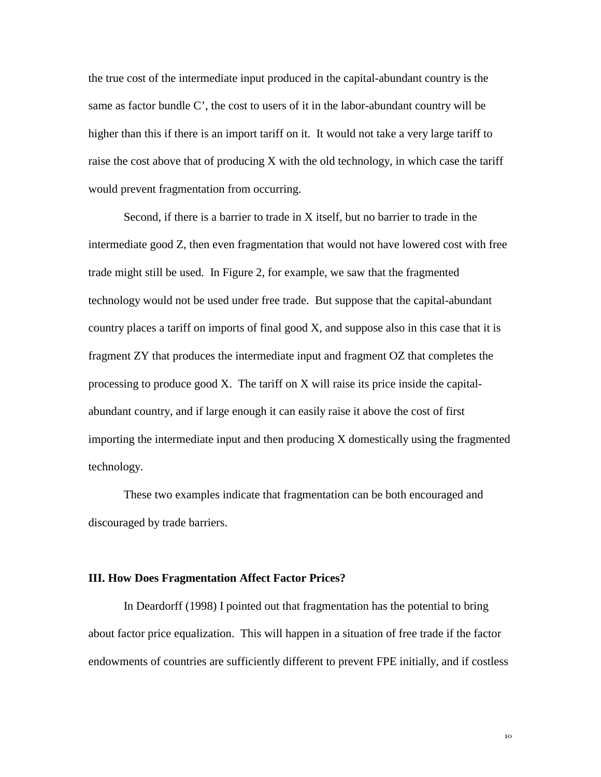the true cost of the intermediate input produced in the capital-abundant country is the same as factor bundle C', the cost to users of it in the labor-abundant country will be higher than this if there is an import tariff on it. It would not take a very large tariff to raise the cost above that of producing X with the old technology, in which case the tariff would prevent fragmentation from occurring.

Second, if there is a barrier to trade in X itself, but no barrier to trade in the intermediate good Z, then even fragmentation that would not have lowered cost with free trade might still be used. In Figure 2, for example, we saw that the fragmented technology would not be used under free trade. But suppose that the capital-abundant country places a tariff on imports of final good X, and suppose also in this case that it is fragment ZY that produces the intermediate input and fragment OZ that completes the processing to produce good X. The tariff on X will raise its price inside the capitalabundant country, and if large enough it can easily raise it above the cost of first importing the intermediate input and then producing X domestically using the fragmented technology.

These two examples indicate that fragmentation can be both encouraged and discouraged by trade barriers.

#### **III. How Does Fragmentation Affect Factor Prices?**

In Deardorff (1998) I pointed out that fragmentation has the potential to bring about factor price equalization. This will happen in a situation of free trade if the factor endowments of countries are sufficiently different to prevent FPE initially, and if costless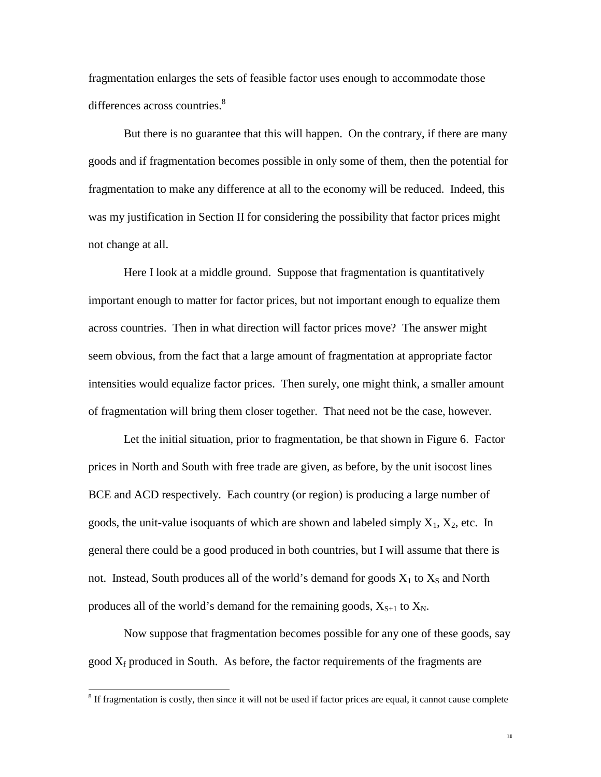fragmentation enlarges the sets of feasible factor uses enough to accommodate those differences across countries.<sup>8</sup>

But there is no guarantee that this will happen. On the contrary, if there are many goods and if fragmentation becomes possible in only some of them, then the potential for fragmentation to make any difference at all to the economy will be reduced. Indeed, this was my justification in Section II for considering the possibility that factor prices might not change at all.

Here I look at a middle ground. Suppose that fragmentation is quantitatively important enough to matter for factor prices, but not important enough to equalize them across countries. Then in what direction will factor prices move? The answer might seem obvious, from the fact that a large amount of fragmentation at appropriate factor intensities would equalize factor prices. Then surely, one might think, a smaller amount of fragmentation will bring them closer together. That need not be the case, however.

Let the initial situation, prior to fragmentation, be that shown in Figure 6. Factor prices in North and South with free trade are given, as before, by the unit isocost lines BCE and ACD respectively. Each country (or region) is producing a large number of goods, the unit-value isoquants of which are shown and labeled simply  $X_1$ ,  $X_2$ , etc. In general there could be a good produced in both countries, but I will assume that there is not. Instead, South produces all of the world's demand for goods  $X_1$  to  $X_S$  and North produces all of the world's demand for the remaining goods,  $X_{S+1}$  to  $X_N$ .

Now suppose that fragmentation becomes possible for any one of these goods, say good  $X_f$  produced in South. As before, the factor requirements of the fragments are

 $\overline{a}$ 

 $111$ 

<sup>&</sup>lt;sup>8</sup> If fragmentation is costly, then since it will not be used if factor prices are equal, it cannot cause complete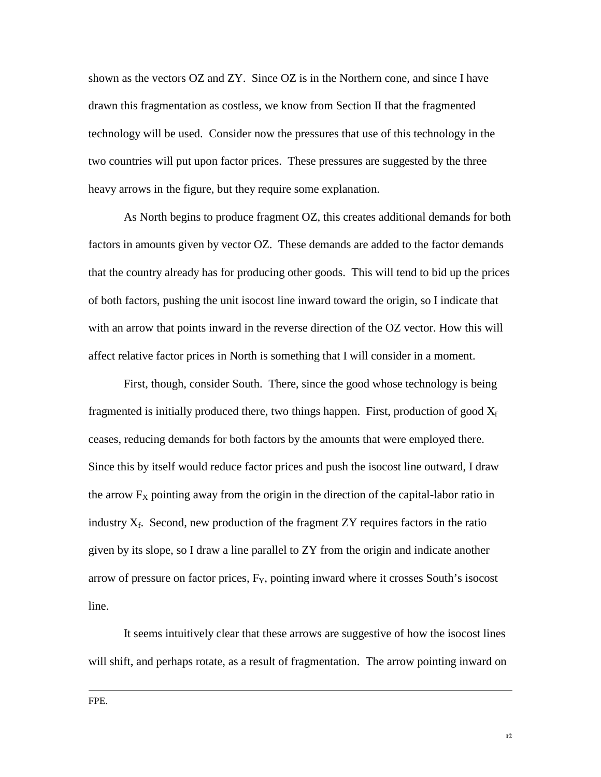shown as the vectors OZ and ZY.Since OZ is in the Northern cone, and since I have drawn this fragmentation as costless, we know from Section II that the fragmented technology will be used. Consider now the pressures that use of this technology in the two countries will put upon factor prices. These pressures are suggested by the three heavy arrows in the figure, but they require some explanation.

As North begins to produce fragment OZ, this creates additional demands for both factors in amounts given by vector OZ. These demands are added to the factor demands that the country already has for producing other goods. This will tend to bid up the prices of both factors, pushing the unit isocost line inward toward the origin, so I indicate that with an arrow that points inward in the reverse direction of the OZ vector. How this will affect relative factor prices in North is something that I will consider in a moment.

First, though, consider South. There, since the good whose technology is being fragmented is initially produced there, two things happen. First, production of good  $X_f$ ceases, reducing demands for both factors by the amounts that were employed there. Since this by itself would reduce factor prices and push the isocost line outward, I draw the arrow  $F_X$  pointing away from the origin in the direction of the capital-labor ratio in industry  $X_f$ . Second, new production of the fragment ZY requires factors in the ratio given by its slope, so I draw a line parallel to ZY from the origin and indicate another arrow of pressure on factor prices,  $F_Y$ , pointing inward where it crosses South's isocost line.

It seems intuitively clear that these arrows are suggestive of how the isocost lines will shift, and perhaps rotate, as a result of fragmentation. The arrow pointing inward on

 $\overline{a}$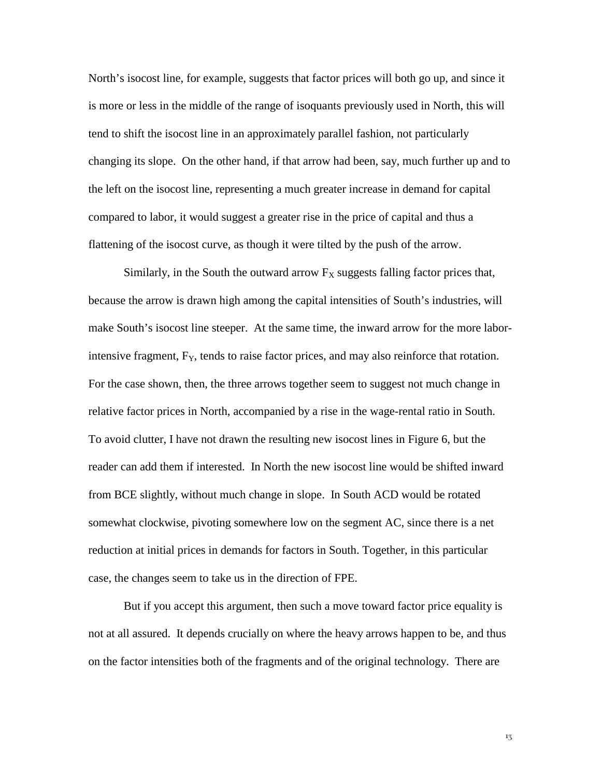North's isocost line, for example, suggests that factor prices will both go up, and since it is more or less in the middle of the range of isoquants previously used in North, this will tend to shift the isocost line in an approximately parallel fashion, not particularly changing its slope. On the other hand, if that arrow had been, say, much further up and to the left on the isocost line, representing a much greater increase in demand for capital compared to labor, it would suggest a greater rise in the price of capital and thus a flattening of the isocost curve, as though it were tilted by the push of the arrow.

Similarly, in the South the outward arrow  $F_X$  suggests falling factor prices that, because the arrow is drawn high among the capital intensities of South's industries, will make South's isocost line steeper. At the same time, the inward arrow for the more laborintensive fragment,  $F_Y$ , tends to raise factor prices, and may also reinforce that rotation. For the case shown, then, the three arrows together seem to suggest not much change in relative factor prices in North, accompanied by a rise in the wage-rental ratio in South. To avoid clutter, I have not drawn the resulting new isocost lines in Figure 6, but the reader can add them if interested. In North the new isocost line would be shifted inward from BCE slightly, without much change in slope. In South ACD would be rotated somewhat clockwise, pivoting somewhere low on the segment AC, since there is a net reduction at initial prices in demands for factors in South. Together, in this particular case, the changes seem to take us in the direction of FPE.

But if you accept this argument, then such a move toward factor price equality is not at all assured. It depends crucially on where the heavy arrows happen to be, and thus on the factor intensities both of the fragments and of the original technology. There are

 $1\overline{3}$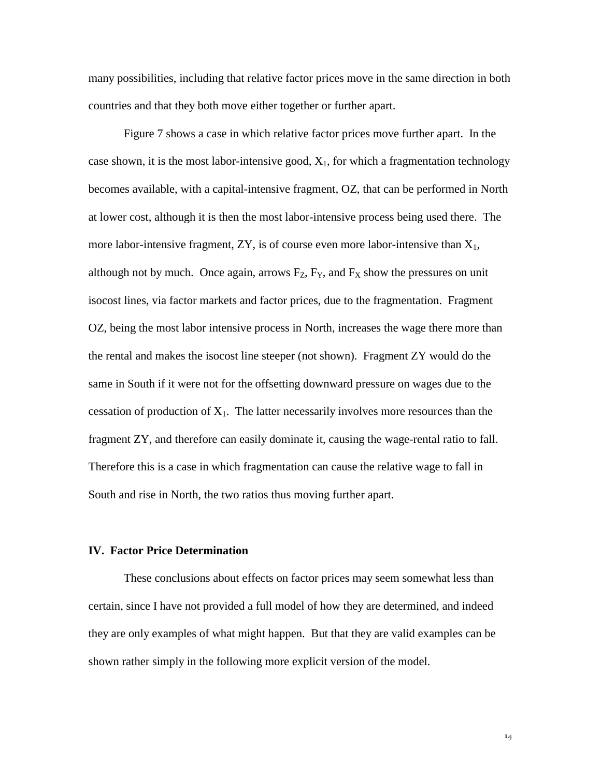many possibilities, including that relative factor prices move in the same direction in both countries and that they both move either together or further apart.

Figure 7 shows a case in which relative factor prices move further apart. In the case shown, it is the most labor-intensive good,  $X_1$ , for which a fragmentation technology becomes available, with a capital-intensive fragment, OZ, that can be performed in North at lower cost, although it is then the most labor-intensive process being used there. The more labor-intensive fragment,  $ZY$ , is of course even more labor-intensive than  $X_1$ , although not by much. Once again, arrows  $F_Z$ ,  $F_Y$ , and  $F_X$  show the pressures on unit isocost lines, via factor markets and factor prices, due to the fragmentation. Fragment OZ, being the most labor intensive process in North, increases the wage there more than the rental and makes the isocost line steeper (not shown). Fragment ZY would do the same in South if it were not for the offsetting downward pressure on wages due to the cessation of production of  $X_1$ . The latter necessarily involves more resources than the fragment ZY, and therefore can easily dominate it, causing the wage-rental ratio to fall. Therefore this is a case in which fragmentation can cause the relative wage to fall in South and rise in North, the two ratios thus moving further apart.

### **IV. Factor Price Determination**

These conclusions about effects on factor prices may seem somewhat less than certain, since I have not provided a full model of how they are determined, and indeed they are only examples of what might happen. But that they are valid examples can be shown rather simply in the following more explicit version of the model.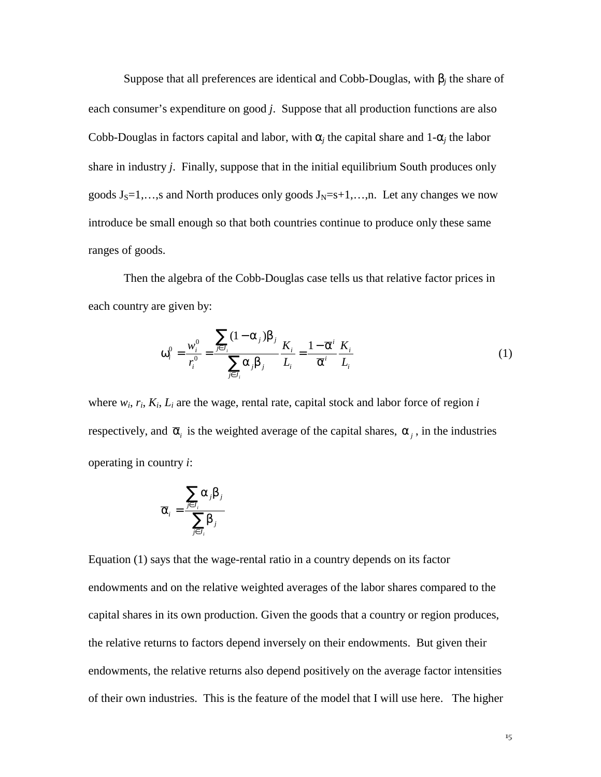Suppose that all preferences are identical and Cobb-Douglas, with β*j* the share of each consumer's expenditure on good *j*. Suppose that all production functions are also Cobb-Douglas in factors capital and labor, with  $\alpha_i$  the capital share and 1- $\alpha_i$  the labor share in industry *j*. Finally, suppose that in the initial equilibrium South produces only goods  $J_S=1,...,s$  and North produces only goods  $J_N=s+1,...,n$ . Let any changes we now introduce be small enough so that both countries continue to produce only these same ranges of goods.

Then the algebra of the Cobb-Douglas case tells us that relative factor prices in each country are given by:

$$
\omega_i^0 = \frac{w_i^0}{r_i^0} = \frac{\sum_{j \in J_i} (1 - \alpha_j) \beta_j}{\sum_{j \in J_i} \alpha_j \beta_j} \frac{K_i}{L_i} = \frac{1 - \overline{\alpha}^i}{\overline{\alpha}^i} \frac{K_i}{L_i}
$$
(1)

where  $w_i$ ,  $r_i$ ,  $K_i$ ,  $L_i$  are the wage, rental rate, capital stock and labor force of region  $i$ respectively, and  $\bar{\alpha}_i$  is the weighted average of the capital shares,  $\alpha_i$ , in the industries operating in country *i*:

$$
\overline{\alpha}_i = \frac{\sum_{j \in J_i} \alpha_j \beta_j}{\sum_{j \in J_i} \beta_j}
$$

Equation (1) says that the wage-rental ratio in a country depends on its factor endowments and on the relative weighted averages of the labor shares compared to the capital shares in its own production. Given the goods that a country or region produces, the relative returns to factors depend inversely on their endowments. But given their endowments, the relative returns also depend positively on the average factor intensities of their own industries. This is the feature of the model that I will use here. The higher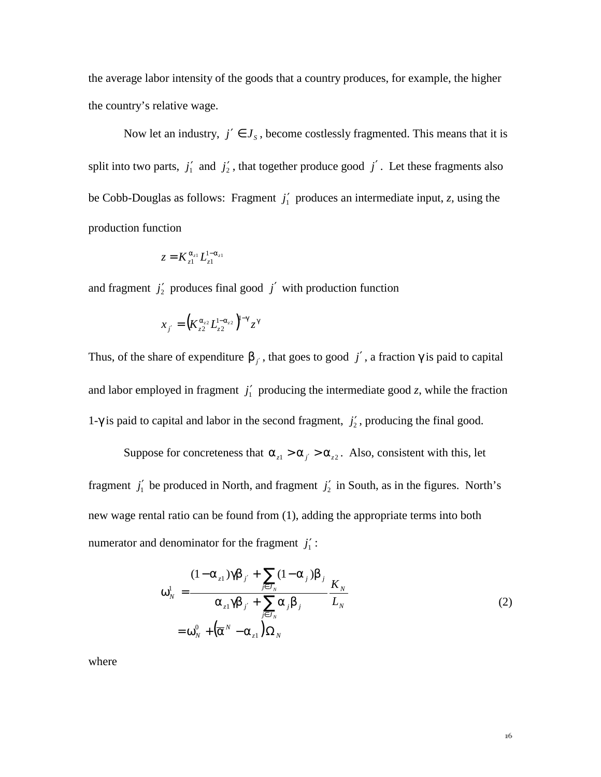the average labor intensity of the goods that a country produces, for example, the higher the country's relative wage.

Now let an industry,  $j' \in J_s$ , become costlessly fragmented. This means that it is split into two parts,  $j'_1$  and  $j'_2$ , that together produce good  $j'$ . Let these fragments also be Cobb-Douglas as follows: Fragment *j*′ 1 produces an intermediate input, *z,* using the production function

$$
z = K_{z1}^{\alpha_{z1}} L_{z1}^{1-\alpha_{z1}}
$$

and fragment  $j'_2$  produces final good  $j'$  with production function

$$
x_{j'} = \left(K_{z2}^{\alpha_{z2}} L_{z2}^{1-\alpha_{z2}}\right)^{1-\gamma} z^{\gamma}
$$

Thus, of the share of expenditure  $\beta_{i'}$ , that goes to good *j'*, a fraction  $\gamma$  is paid to capital and labor employed in fragment  $j'_1$  producing the intermediate good *z*, while the fraction 1- $\gamma$  is paid to capital and labor in the second fragment,  $j'_2$ , producing the final good.

Suppose for concreteness that  $\alpha_{z1} > \alpha_{i'} > \alpha_{z2}$ . Also, consistent with this, let fragment  $j'_1$  be produced in North, and fragment  $j'_2$  in South, as in the figures. North's new wage rental ratio can be found from (1), adding the appropriate terms into both numerator and denominator for the fragment  $j_1$ <sup>'</sup>:

$$
\omega_N^1 = \frac{(1 - \alpha_{z1})\gamma \beta_{j'} + \sum_{j \in J_N} (1 - \alpha_j) \beta_j}{\alpha_{z1} \gamma \beta_{j'} + \sum_{j \in J_N} \alpha_j \beta_j} \frac{K_N}{L_N}
$$
\n
$$
= \omega_N^0 + (\overline{\alpha}^N - \alpha_{z1}) \Omega_N
$$
\n(2)

where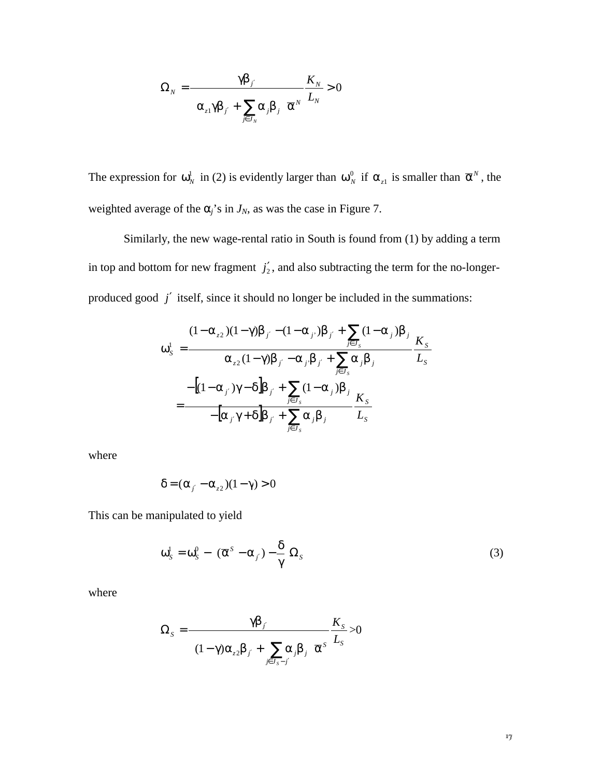$$
\Omega_{N} = \frac{\gamma \beta_{j'}}{\left(\alpha_{z1} \gamma \beta_{j'} + \sum_{j \in J_{N}} \alpha_{j} \beta_{j}\right) \overline{\alpha}^{N}} \frac{K_{N}}{L_{N}} > 0
$$

The expression for  $\omega_N^1$  in (2) is evidently larger than  $\omega_N^0$  if  $\alpha_{z_1}$  is smaller than  $\overline{\alpha}^N$ , the weighted average of the  $\alpha_j$ 's in  $J_N$ , as was the case in Figure 7.

Similarly, the new wage-rental ratio in South is found from (1) by adding a term in top and bottom for new fragment  $j'_2$ , and also subtracting the term for the no-longerproduced good *j*′ itself, since it should no longer be included in the summations:

$$
\omega_{s}^{1} = \frac{(1 - \alpha_{z2})(1 - \gamma)\beta_{j'} - (1 - \alpha_{j'})\beta_{j'} + \sum_{j \in J_{s}} (1 - \alpha_{j})\beta_{j}}{\alpha_{z2}(1 - \gamma)\beta_{j'} - \alpha_{j'}\beta_{j'} + \sum_{j \in J_{s}} \alpha_{j}\beta_{j}} \frac{K_{s}}{L_{s}}
$$

$$
= \frac{-[(1 - \alpha_{j'})\gamma - \delta]\beta_{j'} + \sum_{j \in J_{s}} (1 - \alpha_{j})\beta_{j}}{-[\alpha_{j'}\gamma + \delta]\beta_{j'} + \sum_{j \in J_{s}} \alpha_{j}\beta_{j}} \frac{K_{s}}{L_{s}}
$$

where

$$
\delta = (\alpha_{i'} - \alpha_{z2})(1 - \gamma) > 0
$$

This can be manipulated to yield

$$
\omega_s^1 = \omega_s^0 - \left[ (\overline{\alpha}^s - \alpha_{j'}) - \frac{\delta}{\gamma} \right] \Omega_s \tag{3}
$$

where

$$
\Omega_{S} = \frac{\gamma \beta_{j'}}{\left( (1 - \gamma) \alpha_{z2} \beta_{j'} + \sum_{j \in J_{S} - j'} \alpha_{j} \beta_{j} \right) \overline{\alpha}^{S}} \frac{K_{S}}{L_{S}} > 0
$$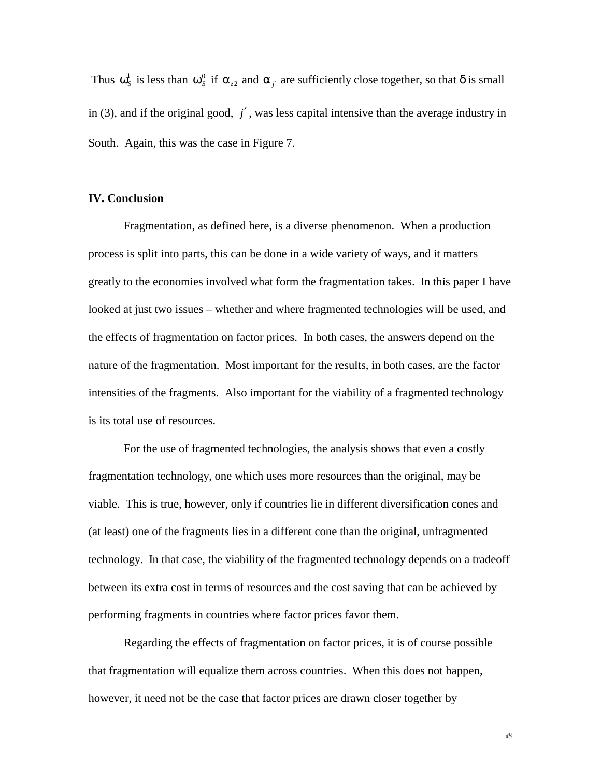Thus  $\omega_s^1$  is less than  $\omega_s^0$  if  $\alpha_{z_2}$  and  $\alpha_{j'}$  are sufficiently close together, so that  $\delta$  is small in (3), and if the original good, *j*′ , was less capital intensive than the average industry in South. Again, this was the case in Figure 7.

#### **IV. Conclusion**

Fragmentation, as defined here, is a diverse phenomenon. When a production process is split into parts, this can be done in a wide variety of ways, and it matters greatly to the economies involved what form the fragmentation takes. In this paper I have looked at just two issues – whether and where fragmented technologies will be used, and the effects of fragmentation on factor prices. In both cases, the answers depend on the nature of the fragmentation. Most important for the results, in both cases, are the factor intensities of the fragments. Also important for the viability of a fragmented technology is its total use of resources.

For the use of fragmented technologies, the analysis shows that even a costly fragmentation technology, one which uses more resources than the original, may be viable. This is true, however, only if countries lie in different diversification cones and (at least) one of the fragments lies in a different cone than the original, unfragmented technology. In that case, the viability of the fragmented technology depends on a tradeoff between its extra cost in terms of resources and the cost saving that can be achieved by performing fragments in countries where factor prices favor them.

Regarding the effects of fragmentation on factor prices, it is of course possible that fragmentation will equalize them across countries. When this does not happen, however, it need not be the case that factor prices are drawn closer together by

18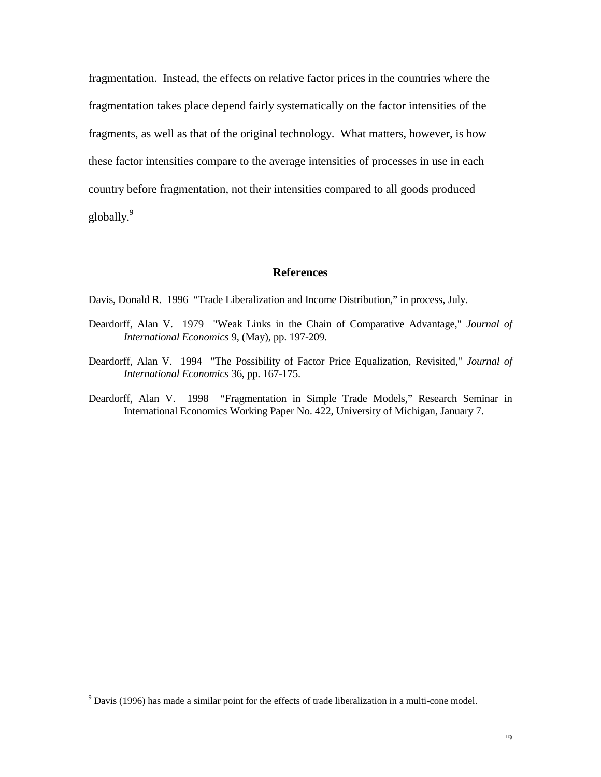fragmentation. Instead, the effects on relative factor prices in the countries where the fragmentation takes place depend fairly systematically on the factor intensities of the fragments, as well as that of the original technology. What matters, however, is how these factor intensities compare to the average intensities of processes in use in each country before fragmentation, not their intensities compared to all goods produced globally.<sup>9</sup>

#### **References**

Davis, Donald R. 1996 "Trade Liberalization and Income Distribution," in process, July.

- Deardorff, Alan V. 1979 "Weak Links in the Chain of Comparative Advantage," *Journal of International Economics* 9, (May), pp. 197-209.
- Deardorff, Alan V. 1994 "The Possibility of Factor Price Equalization, Revisited," *Journal of International Economics* 36, pp. 167-175.
- Deardorff, Alan V. 1998 "Fragmentation in Simple Trade Models," Research Seminar in International Economics Working Paper No. 422, University of Michigan, January 7.

 $\overline{a}$ 

 $9^9$  Davis (1996) has made a similar point for the effects of trade liberalization in a multi-cone model.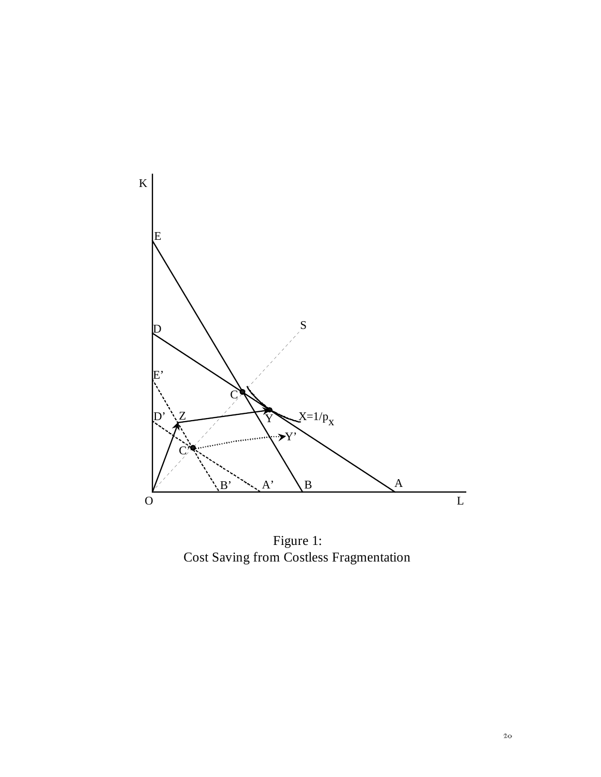

Figure 1: Cost Saving from Costless Fragmentation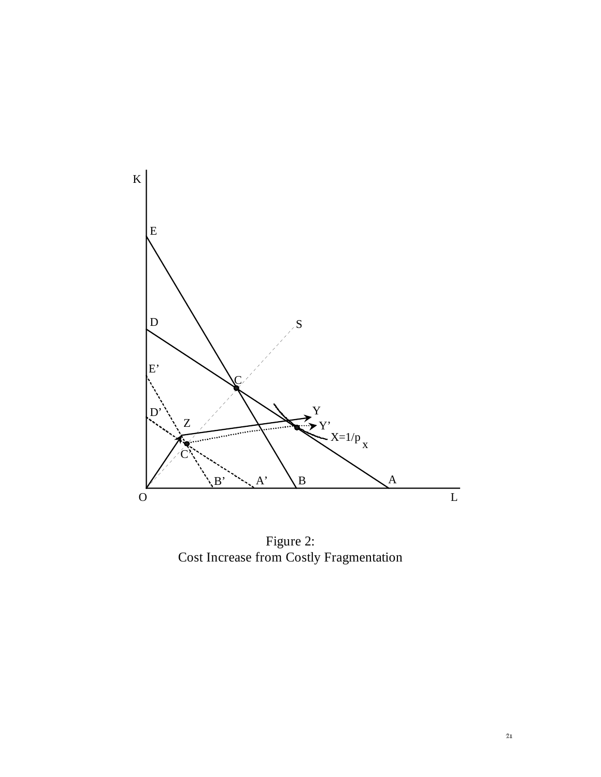

Figure 2: Cost Increase from Costly Fragmentation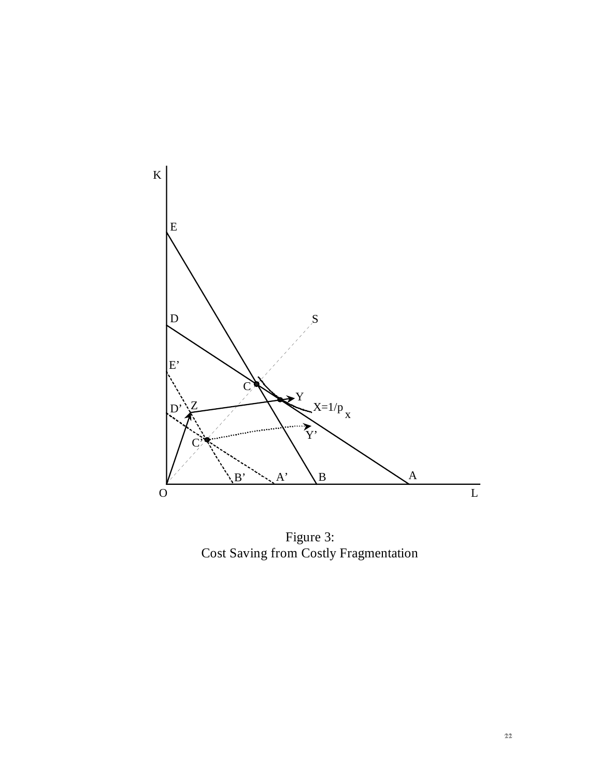

Figure 3: Cost Saving from Costly Fragmentation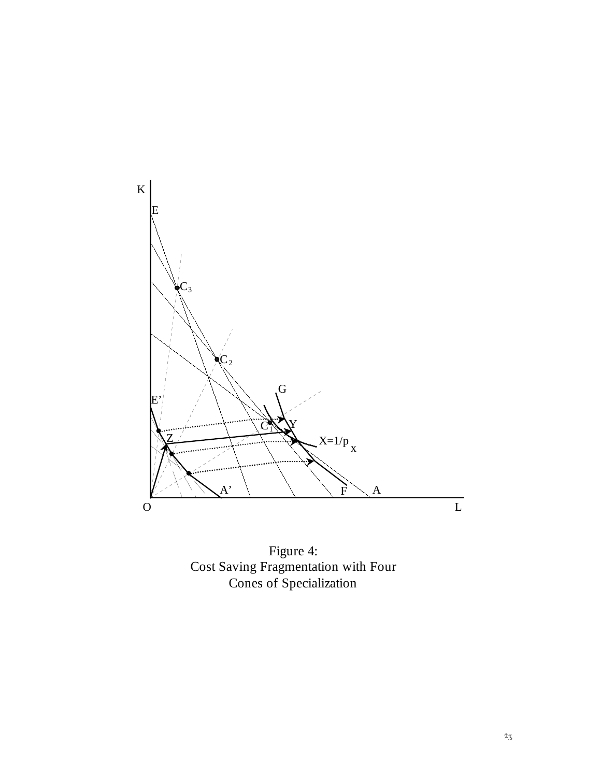

Figure 4: Cost Saving Fragmentation with Four Cones of Specialization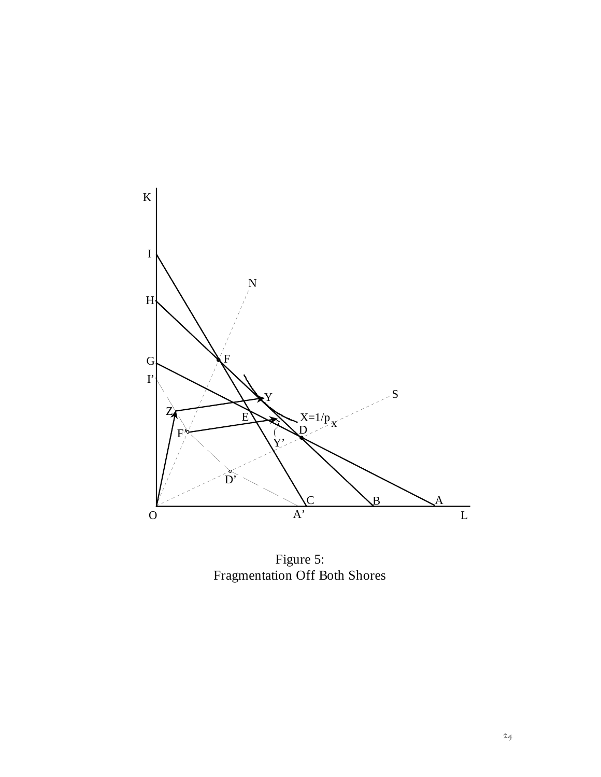

Figure 5: Fragmentation Off Both Shores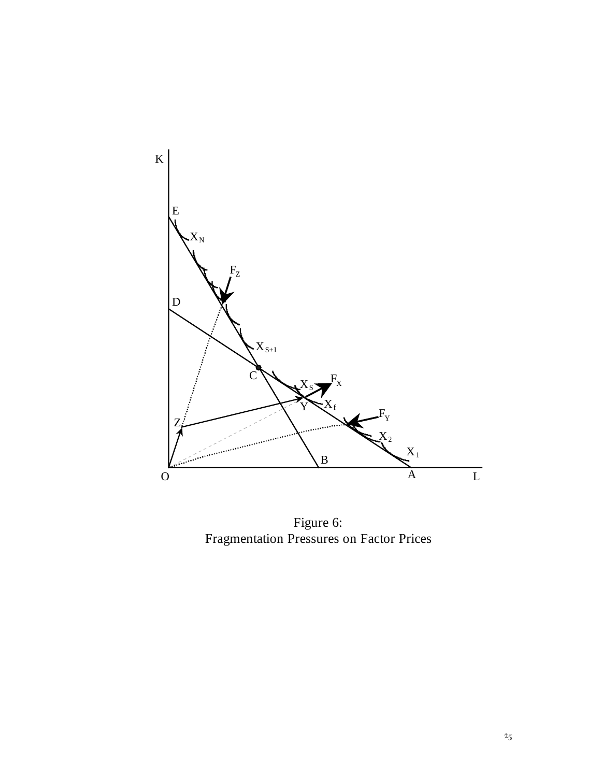

Figure 6: Fragmentation Pressures on Factor Prices